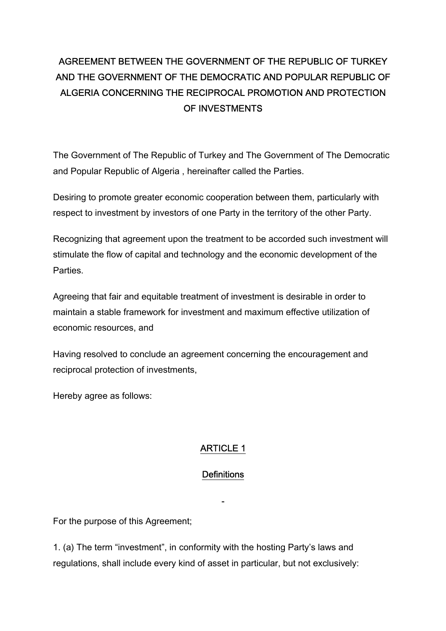# AGREEMENT BETWEEN THE GOVERNMENT OF THE REPUBLIC OF TURKEY AND THE GOVERNMENT OF THE DEMOCRATIC AND POPULAR REPUBLIC OF ALGERIA CONCERNING THE RECIPROCAL PROMOTION AND PROTECTION OF INVESTMENTS

The Government of The Republic of Turkey and The Government of The Democratic and Popular Republic of Algeria , hereinafter called the Parties.

Desiring to promote greater economic cooperation between them, particularly with respect to investment by investors of one Party in the territory of the other Party.

Recognizing that agreement upon the treatment to be accorded such investment will stimulate the flow of capital and technology and the economic development of the Parties.

Agreeing that fair and equitable treatment of investment is desirable in order to maintain a stable framework for investment and maximum effective utilization of economic resources, and

Having resolved to conclude an agreement concerning the encouragement and reciprocal protection of investments,

Hereby agree as follows:

## ARTICLE 1

#### **Definitions**

For the purpose of this Agreement;

1. (a) The term "investment", in conformity with the hosting Party's laws and regulations, shall include every kind of asset in particular, but not exclusively: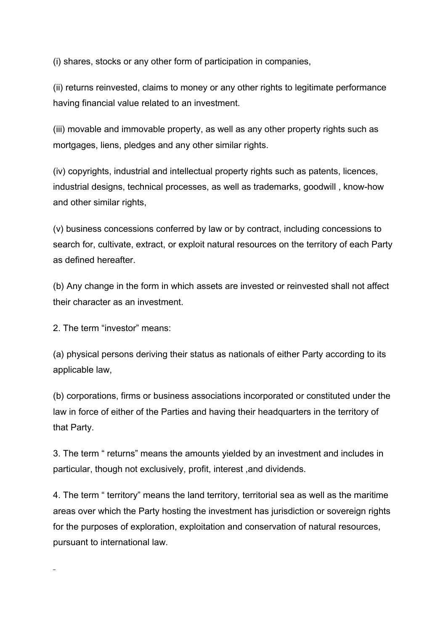(i) shares, stocks or any other form of participation in companies,

(ii) returns reinvested, claims to money or any other rights to legitimate performance having financial value related to an investment.

(iii) movable and immovable property, as well as any other property rights such as mortgages, liens, pledges and any other similar rights.

(iv) copyrights, industrial and intellectual property rights such as patents, licences, industrial designs, technical processes, as well as trademarks, goodwill , know-how and other similar rights,

(v) business concessions conferred by law or by contract, including concessions to search for, cultivate, extract, or exploit natural resources on the territory of each Party as defined hereafter.

(b) Any change in the form in which assets are invested or reinvested shall not affect their character as an investment.

2. The term "investor" means:

(a) physical persons deriving their status as nationals of either Party according to its applicable law,

(b) corporations, firms or business associations incorporated or constituted under the law in force of either of the Parties and having their headquarters in the territory of that Party.

3. The term " returns" means the amounts yielded by an investment and includes in particular, though not exclusively, profit, interest ,and dividends.

4. The term " territory" means the land territory, territorial sea as well as the maritime areas over which the Party hosting the investment has jurisdiction or sovereign rights for the purposes of exploration, exploitation and conservation of natural resources, pursuant to international law.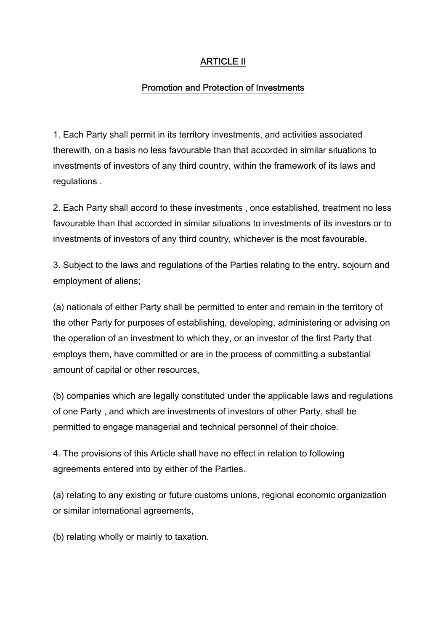# ARTICLE II

#### Promotion and Protection of Investments

1. Each Party shall permit in its territory investments, and activities associated therewith, on a basis no less favourable than that accorded in similar situations to investments of investors of any third country, within the framework of its laws and regulations .

2. Each Party shall accord to these investments , once established, treatment no less favourable than that accorded in similar situations to investments of its investors or to investments of investors of any third country, whichever is the most favourable.

3. Subject to the laws and regulations of the Parties relating to the entry, sojourn and employment of aliens;

(a) nationals of either Party shall be permitted to enter and remain in the territory of the other Party for purposes of establishing, developing, administering or advising on the operation of an investment to which they, or an investor of the first Party that employs them, have committed or are in the process of committing a substantial amount of capital or other resources,

(b) companies which are legally constituted under the applicable laws and regulations of one Party , and which are investments of investors of other Party, shall be permitted to engage managerial and technical personnel of their choice.

4. The provisions of this Article shall have no effect in relation to following agreements entered into by either of the Parties.

(a) relating to any existing or future customs unions, regional economic organization or similar international agreements,

(b) relating wholly or mainly to taxation.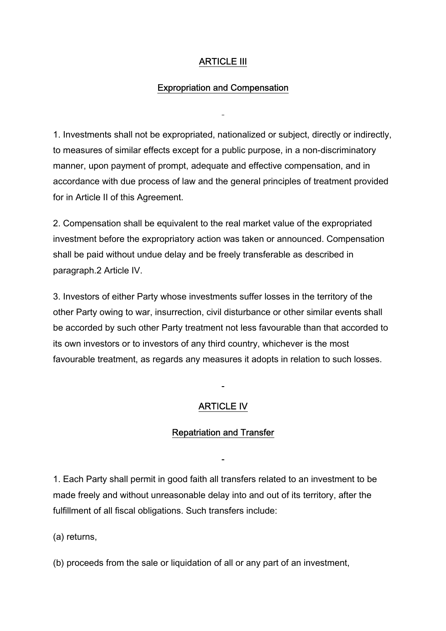# **ARTICLE III**

#### Expropriation and Compensation

1. Investments shall not be expropriated, nationalized or subject, directly or indirectly, to measures of similar effects except for a public purpose, in a non-discriminatory manner, upon payment of prompt, adequate and effective compensation, and in accordance with due process of law and the general principles of treatment provided for in Article II of this Agreement.

2. Compensation shall be equivalent to the real market value of the expropriated investment before the expropriatory action was taken or announced. Compensation shall be paid without undue delay and be freely transferable as described in paragraph.2 Article IV.

3. Investors of either Party whose investments suffer losses in the territory of the other Party owing to war, insurrection, civil disturbance or other similar events shall be accorded by such other Party treatment not less favourable than that accorded to its own investors or to investors of any third country, whichever is the most favourable treatment, as regards any measures it adopts in relation to such losses.

## ARTICLE IV

#### Repatriation and Transfer

1. Each Party shall permit in good faith all transfers related to an investment to be made freely and without unreasonable delay into and out of its territory, after the fulfillment of all fiscal obligations. Such transfers include:

(a) returns,

(b) proceeds from the sale or liquidation of all or any part of an investment,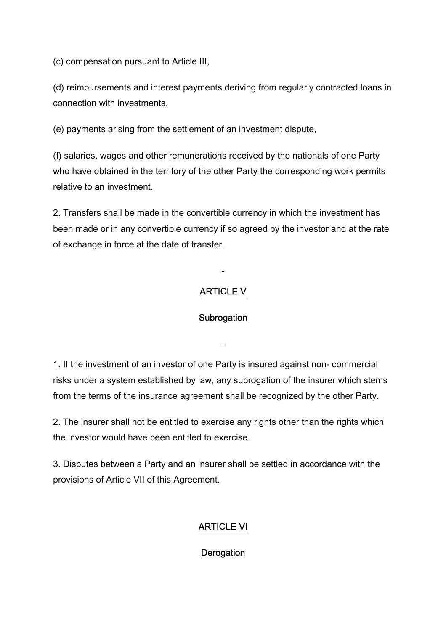(c) compensation pursuant to Article III,

(d) reimbursements and interest payments deriving from regularly contracted loans in connection with investments,

(e) payments arising from the settlement of an investment dispute,

(f) salaries, wages and other remunerations received by the nationals of one Party who have obtained in the territory of the other Party the corresponding work permits relative to an investment.

2. Transfers shall be made in the convertible currency in which the investment has been made or in any convertible currency if so agreed by the investor and at the rate of exchange in force at the date of transfer.

# ARTICLE V

#### **Subrogation**

1. If the investment of an investor of one Party is insured against non- commercial risks under a system established by law, any subrogation of the insurer which stems from the terms of the insurance agreement shall be recognized by the other Party.

2. The insurer shall not be entitled to exercise any rights other than the rights which the investor would have been entitled to exercise.

3. Disputes between a Party and an insurer shall be settled in accordance with the provisions of Article VII of this Agreement.

# ARTICLE VI

## **Derogation**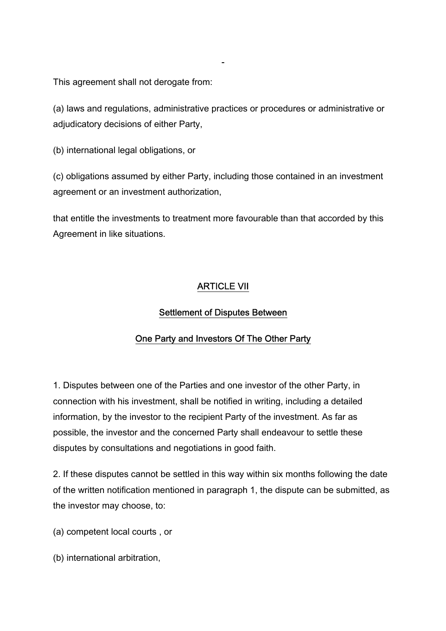This agreement shall not derogate from:

(a) laws and regulations, administrative practices or procedures or administrative or adjudicatory decisions of either Party,

(b) international legal obligations, or

(c) obligations assumed by either Party, including those contained in an investment agreement or an investment authorization,

that entitle the investments to treatment more favourable than that accorded by this Agreement in like situations.

#### ARTICLE VII

#### Settlement of Disputes Between

#### One Party and Investors Of The Other Party

1. Disputes between one of the Parties and one investor of the other Party, in connection with his investment, shall be notified in writing, including a detailed information, by the investor to the recipient Party of the investment. As far as possible, the investor and the concerned Party shall endeavour to settle these disputes by consultations and negotiations in good faith.

2. If these disputes cannot be settled in this way within six months following the date of the written notification mentioned in paragraph 1, the dispute can be submitted, as the investor may choose, to:

- (a) competent local courts , or
- (b) international arbitration,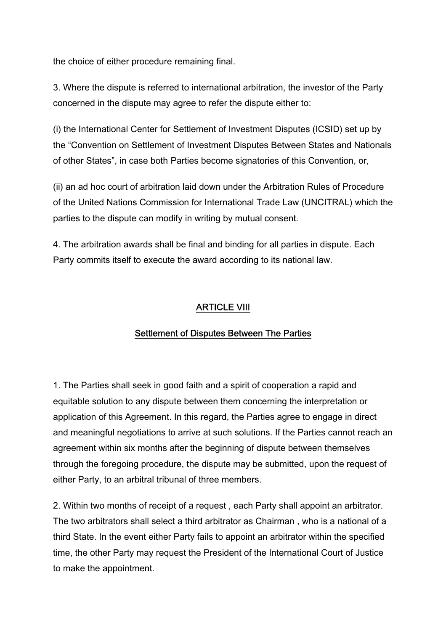the choice of either procedure remaining final.

3. Where the dispute is referred to international arbitration, the investor of the Party concerned in the dispute may agree to refer the dispute either to:

(i) the International Center for Settlement of Investment Disputes (ICSID) set up by the "Convention on Settlement of Investment Disputes Between States and Nationals of other States", in case both Parties become signatories of this Convention, or,

(ii) an ad hoc court of arbitration laid down under the Arbitration Rules of Procedure of the United Nations Commission for International Trade Law (UNCITRAL) which the parties to the dispute can modify in writing by mutual consent.

4. The arbitration awards shall be final and binding for all parties in dispute. Each Party commits itself to execute the award according to its national law.

#### ARTICLE VIII

#### Settlement of Disputes Between The Parties

1. The Parties shall seek in good faith and a spirit of cooperation a rapid and equitable solution to any dispute between them concerning the interpretation or application of this Agreement. In this regard, the Parties agree to engage in direct and meaningful negotiations to arrive at such solutions. If the Parties cannot reach an agreement within six months after the beginning of dispute between themselves through the foregoing procedure, the dispute may be submitted, upon the request of either Party, to an arbitral tribunal of three members.

2. Within two months of receipt of a request , each Party shall appoint an arbitrator. The two arbitrators shall select a third arbitrator as Chairman , who is a national of a third State. In the event either Party fails to appoint an arbitrator within the specified time, the other Party may request the President of the International Court of Justice to make the appointment.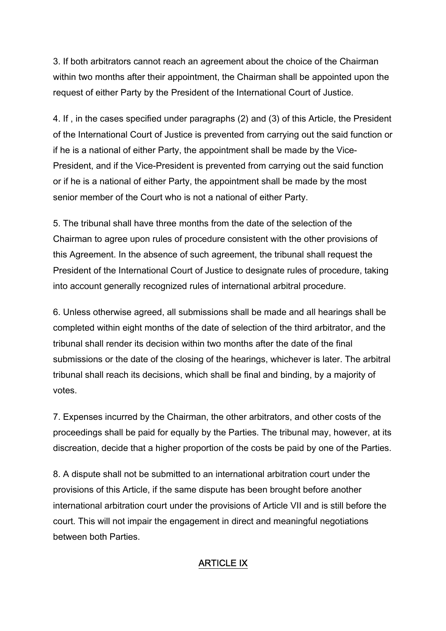3. If both arbitrators cannot reach an agreement about the choice of the Chairman within two months after their appointment, the Chairman shall be appointed upon the request of either Party by the President of the International Court of Justice.

4. If , in the cases specified under paragraphs (2) and (3) of this Article, the President of the International Court of Justice is prevented from carrying out the said function or if he is a national of either Party, the appointment shall be made by the Vice-President, and if the Vice-President is prevented from carrying out the said function or if he is a national of either Party, the appointment shall be made by the most senior member of the Court who is not a national of either Party.

5. The tribunal shall have three months from the date of the selection of the Chairman to agree upon rules of procedure consistent with the other provisions of this Agreement. In the absence of such agreement, the tribunal shall request the President of the International Court of Justice to designate rules of procedure, taking into account generally recognized rules of international arbitral procedure.

6. Unless otherwise agreed, all submissions shall be made and all hearings shall be completed within eight months of the date of selection of the third arbitrator, and the tribunal shall render its decision within two months after the date of the final submissions or the date of the closing of the hearings, whichever is later. The arbitral tribunal shall reach its decisions, which shall be final and binding, by a majority of votes.

7. Expenses incurred by the Chairman, the other arbitrators, and other costs of the proceedings shall be paid for equally by the Parties. The tribunal may, however, at its discreation, decide that a higher proportion of the costs be paid by one of the Parties.

8. A dispute shall not be submitted to an international arbitration court under the provisions of this Article, if the same dispute has been brought before another international arbitration court under the provisions of Article VII and is still before the court. This will not impair the engagement in direct and meaningful negotiations between both Parties.

## ARTICLE IX